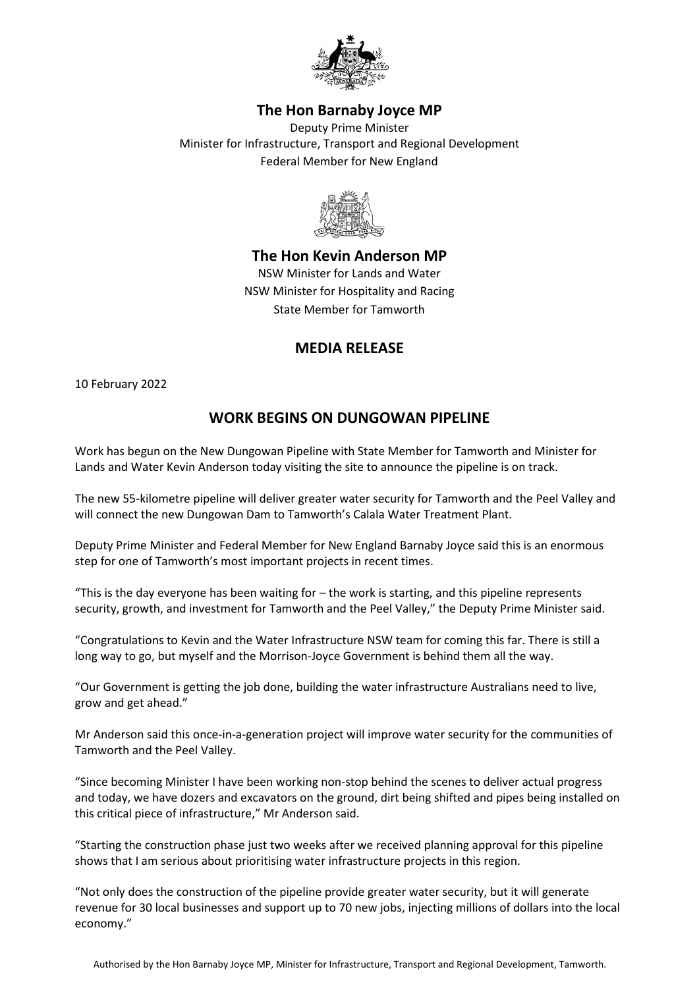

## **The Hon Barnaby Joyce MP**

Deputy Prime Minister Minister for Infrastructure, Transport and Regional Development Federal Member for New England



**The Hon Kevin Anderson MP** NSW Minister for Lands and Water NSW Minister for Hospitality and Racing State Member for Tamworth

## **MEDIA RELEASE**

10 February 2022

## **WORK BEGINS ON DUNGOWAN PIPELINE**

Work has begun on the New Dungowan Pipeline with State Member for Tamworth and Minister for Lands and Water Kevin Anderson today visiting the site to announce the pipeline is on track.

The new 55-kilometre pipeline will deliver greater water security for Tamworth and the Peel Valley and will connect the new Dungowan Dam to Tamworth's Calala Water Treatment Plant.

Deputy Prime Minister and Federal Member for New England Barnaby Joyce said this is an enormous step for one of Tamworth's most important projects in recent times.

"This is the day everyone has been waiting for – the work is starting, and this pipeline represents security, growth, and investment for Tamworth and the Peel Valley," the Deputy Prime Minister said.

"Congratulations to Kevin and the Water Infrastructure NSW team for coming this far. There is still a long way to go, but myself and the Morrison-Joyce Government is behind them all the way.

"Our Government is getting the job done, building the water infrastructure Australians need to live, grow and get ahead."

Mr Anderson said this once-in-a-generation project will improve water security for the communities of Tamworth and the Peel Valley.

"Since becoming Minister I have been working non-stop behind the scenes to deliver actual progress and today, we have dozers and excavators on the ground, dirt being shifted and pipes being installed on this critical piece of infrastructure," Mr Anderson said.

"Starting the construction phase just two weeks after we received planning approval for this pipeline shows that I am serious about prioritising water infrastructure projects in this region.

"Not only does the construction of the pipeline provide greater water security, but it will generate revenue for 30 local businesses and support up to 70 new jobs, injecting millions of dollars into the local economy."